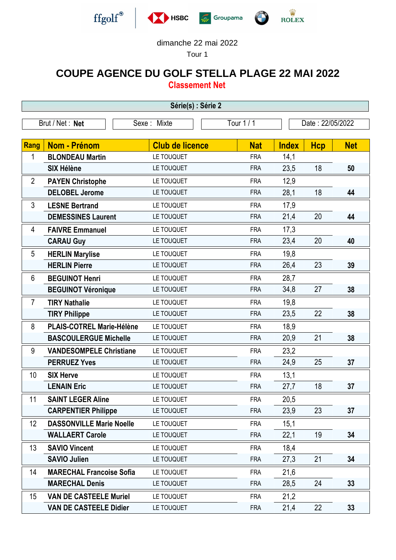







## dimanche 22 mai 2022

Tour 1

## **COUPE AGENCE DU GOLF STELLA PLAGE 22 MAI 2022**

**Classement Net**

| Série(s) : Série 2                                               |                                 |                        |            |              |            |            |  |  |  |
|------------------------------------------------------------------|---------------------------------|------------------------|------------|--------------|------------|------------|--|--|--|
| Brut / Net: Net<br>Tour 1 / 1<br>Sexe: Mixte<br>Date: 22/05/2022 |                                 |                        |            |              |            |            |  |  |  |
|                                                                  |                                 |                        |            |              |            |            |  |  |  |
| Rang                                                             | <b>Nom - Prénom</b>             | <b>Club de licence</b> | <b>Nat</b> | <b>Index</b> | <b>Hcp</b> | <b>Net</b> |  |  |  |
| 1                                                                | <b>BLONDEAU Martin</b>          | LE TOUQUET             | <b>FRA</b> | 14,1         |            |            |  |  |  |
|                                                                  | <b>SIX Hélène</b>               | LE TOUQUET             | <b>FRA</b> | 23,5         | 18         | 50         |  |  |  |
| $\overline{2}$                                                   | <b>PAYEN Christophe</b>         | LE TOUQUET             | <b>FRA</b> | 12,9         |            |            |  |  |  |
|                                                                  | <b>DELOBEL Jerome</b>           | LE TOUQUET             | <b>FRA</b> | 28,1         | 18         | 44         |  |  |  |
| 3                                                                | <b>LESNE Bertrand</b>           | LE TOUQUET             | <b>FRA</b> | 17,9         |            |            |  |  |  |
|                                                                  | <b>DEMESSINES Laurent</b>       | LE TOUQUET             | <b>FRA</b> | 21,4         | 20         | 44         |  |  |  |
| 4                                                                | <b>FAIVRE Emmanuel</b>          | LE TOUQUET             | <b>FRA</b> | 17,3         |            |            |  |  |  |
|                                                                  | <b>CARAU Guy</b>                | LE TOUQUET             | <b>FRA</b> | 23,4         | 20         | 40         |  |  |  |
| 5                                                                | <b>HERLIN Marylise</b>          | LE TOUQUET             | <b>FRA</b> | 19,8         |            |            |  |  |  |
|                                                                  | <b>HERLIN Pierre</b>            | LE TOUQUET             | <b>FRA</b> | 26,4         | 23         | 39         |  |  |  |
| 6                                                                | <b>BEGUINOT Henri</b>           | LE TOUQUET             | <b>FRA</b> | 28,7         |            |            |  |  |  |
|                                                                  | <b>BEGUINOT Véronique</b>       | LE TOUQUET             | <b>FRA</b> | 34,8         | 27         | 38         |  |  |  |
| $\overline{7}$                                                   | <b>TIRY Nathalie</b>            | LE TOUQUET             | <b>FRA</b> | 19,8         |            |            |  |  |  |
|                                                                  | <b>TIRY Philippe</b>            | LE TOUQUET             | <b>FRA</b> | 23,5         | 22         | 38         |  |  |  |
| 8                                                                | PLAIS-COTREL Marie-Hélène       | LE TOUQUET             | <b>FRA</b> | 18,9         |            |            |  |  |  |
|                                                                  | <b>BASCOULERGUE Michelle</b>    | LE TOUQUET             | <b>FRA</b> | 20,9         | 21         | 38         |  |  |  |
| 9                                                                | <b>VANDESOMPELE Christiane</b>  | LE TOUQUET             | <b>FRA</b> | 23,2         |            |            |  |  |  |
|                                                                  | <b>PERRUEZ Yves</b>             | LE TOUQUET             | <b>FRA</b> | 24,9         | 25         | 37         |  |  |  |
| 10                                                               | <b>SIX Herve</b>                | LE TOUQUET             | <b>FRA</b> | 13,1         |            |            |  |  |  |
|                                                                  | <b>LENAIN Eric</b>              | LE TOUQUET             | <b>FRA</b> | 27,7         | 18         | 37         |  |  |  |
| 11                                                               | <b>SAINT LEGER Aline</b>        | LE TOUQUET             | <b>FRA</b> | 20,5         |            |            |  |  |  |
|                                                                  | <b>CARPENTIER Philippe</b>      | LE TOUQUET             | <b>FRA</b> | 23,9         | 23         | 37         |  |  |  |
| 12                                                               | <b>DASSONVILLE Marie Noelle</b> | LE TOUQUET             | <b>FRA</b> | 15,1         |            |            |  |  |  |
|                                                                  | <b>WALLAERT Carole</b>          | LE TOUQUET             | <b>FRA</b> | 22,1         | 19         | 34         |  |  |  |
| 13                                                               | <b>SAVIO Vincent</b>            | LE TOUQUET             | <b>FRA</b> | 18,4         |            |            |  |  |  |
|                                                                  | <b>SAVIO Julien</b>             | LE TOUQUET             | <b>FRA</b> | 27,3         | 21         | 34         |  |  |  |
| 14                                                               | <b>MARECHAL Francoise Sofia</b> | LE TOUQUET             | <b>FRA</b> | 21,6         |            |            |  |  |  |
|                                                                  | <b>MARECHAL Denis</b>           | LE TOUQUET             | <b>FRA</b> | 28,5         | 24         | 33         |  |  |  |
| 15                                                               | <b>VAN DE CASTEELE Muriel</b>   | LE TOUQUET             | <b>FRA</b> | 21,2         |            |            |  |  |  |
|                                                                  | <b>VAN DE CASTEELE Didier</b>   | LE TOUQUET             | <b>FRA</b> | 21,4         | 22         | 33         |  |  |  |